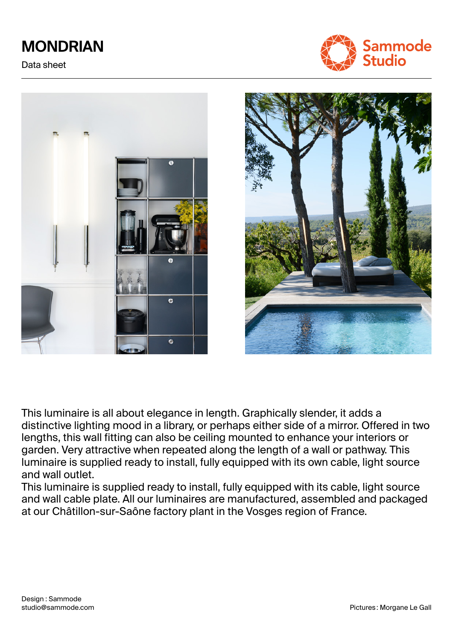# **MONDRIAN**

Data sheet







This luminaire is all about elegance in length. Graphically slender, it adds a distinctive lighting mood in a library, or perhaps either side of a mirror. Offered in two lengths, this wall fitting can also be ceiling mounted to enhance your interiors or garden. Very attractive when repeated along the length of a wall or pathway. This luminaire is supplied ready to install, fully equipped with its own cable, light source and wall outlet.

This luminaire is supplied ready to install, fully equipped with its cable, light source and wall cable plate. All our luminaires are manufactured, assembled and packaged at our Châtillon-sur-Saône factory plant in the Vosges region of France.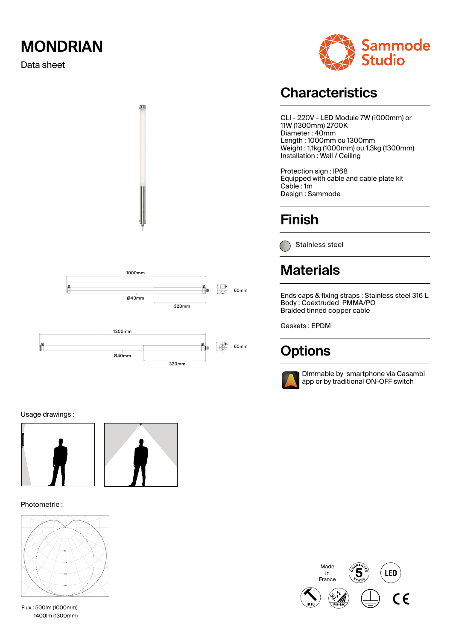## **MONDRIAN**

Data sheet





#### Usage drawings :



#### Photometrie :



Flux : 500lm (1000mm) 1400lm (1300mm)

## **Characteristics**

CLI - 220V - LED Module 7W (1000mm) or 11W (1300mm) 2700K Diameter : 40mm Length : 1000mm ou 1300mm Weight : 1,1kg (1000mm) ou 1,3kg (1300mm) Installation : Wall / Ceiling

Protection sign : IP68 Equipped with cable and cable plate kit Cable : 1m Design : Sammode

## **Finish**

Stainless steel

## **Materials**

Ends caps & fixing straps : Stainless steel 316 L Body : Coextruded PMMA/PO Braided tinned copper cable

Gaskets : EPDM

## **Options**



Dimmable by smartphone via Casambi app or by traditional ON-OFF switch